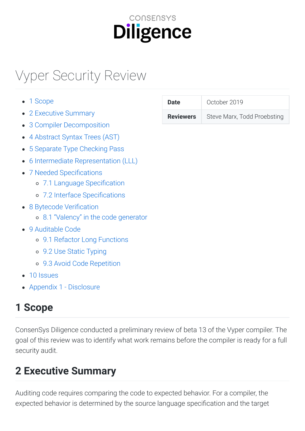# **CONSENSYS Diligence**

# Vyper
Security
Review

| <b>Date</b>      | October 2 |
|------------------|-----------|
| <b>Reviewers</b> | Steve Ma  |
|                  |           |
|                  |           |
|                  |           |
|                  |           |
|                  |           |
|                  |           |
|                  |           |
|                  |           |
|                  |           |
|                  |           |
|                  |           |
|                  |           |
|                  |           |
|                  |           |
|                  |           |

• Appendix 1 - Disclosure

# <span id="page-0-0"></span>**1
Scope**

ConsenSys
Diligence
conducted
a
preliminary
review
of
beta
13
of
the
Vyper
compiler.
The goal of this review was to identify what work remains before the compiler is ready for a full security
audit.

# <span id="page-0-1"></span>**2
Executive
Summary**

Auditing code requires comparing the code to expected behavior. For a compiler, the expected behavior is determined by the source language specification and the target

| <b>Date</b>      | October 2019                |
|------------------|-----------------------------|
| <b>Reviewers</b> | Steve Marx, Todd Proebsting |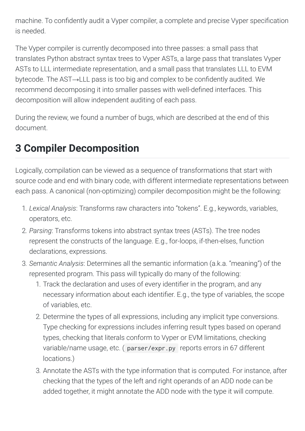machine. To confidently audit a Vyper compiler, a complete and precise Vyper specification is
needed.

The Vyper compiler is currently decomposed into three passes: a small pass that translates Python abstract syntax trees to Vyper ASTs, a large pass that translates Vyper ASTs to LLL intermediate representation, and a small pass that translates LLL to EVM bytecode. The AST→LLL pass is too big and complex to be confidently audited. We recommend decomposing it into smaller passes with well-defined interfaces. This decomposition
will
allow
independent
auditing
of
each
pass.

During
the
review,
we
found
a
number
of
bugs,
which
are
described
at
the
end
of
this document.

# <span id="page-1-0"></span>**3
Compiler
Decomposition**

Logically, compilation can be viewed as a sequence of transformations that start with source
code
and
end
with
binary
code,
with
different
intermediate
representations
between each pass. A canonical (non-optimizing) compiler decomposition might be the following:

- 1. *Lexical
Analysis*:
Transforms
raw
characters
into
"tokens".
E.g.,
keywords,
variables, operators,
etc.
- 2. Parsing: Transforms tokens into abstract syntax trees (ASTs). The tree nodes represent the constructs of the language. E.g., for-loops, if-then-elses, function declarations,
expressions.
- 3. Semantic Analysis: Determines all the semantic information (a.k.a. "meaning") of the represented
program.
This
pass
will
typically
do
many
of
the
following:
	- 1.
	Track
	the
	declaration
	and
	uses
	of
	every
	identier
	in
	the
	program,
	and
	any necessary information about each identifier. E.g., the type of variables, the scope of
	variables,
	etc.
	- 2.
	Determine
	the
	types
	of
	all
	expressions,
	including
	any
	implicit
	type
	conversions. Type checking for expressions includes inferring result types based on operand types, checking that literals conform to Vyper or EVM limitations, checking variable/name
	usage,
	etc.
	( parser/expr.py reports
	errors
	in
	67
	different locations.)
	- 3.
	Annotate
	the
	ASTs
	with
	the
	type
	information
	that
	is
	computed.
	For
	instance,
	after checking
	that
	the
	types
	of
	the
	left
	and
	right
	operands
	of
	an
	ADD
	node
	can
	be added together, it might annotate the ADD node with the type it will compute.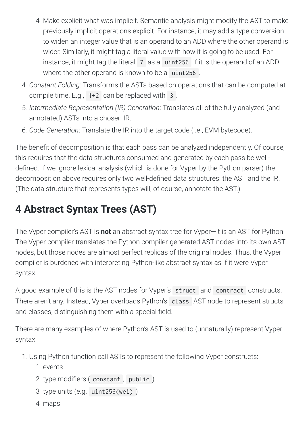- 4.
Make
explicit
what
was
implicit.
Semantic
analysis
might
modify
the
AST
to
make previously
implicit
operations
explicit.
For
instance,
it
may
add
a
type
conversion to widen an integer value that is an operand to an ADD where the other operand is wider. Similarly, it might tag a literal value with how it is going to be used. For instance, it might tag the literal 7 as a uint256 if it is the operand of an ADD where the other operand is known to be a uint256.
- 4. *Constant
Folding*:
Transforms
the
ASTs
based
on
operations
that
can
be
computed
at compile
time.
E.g., 1+2 can
be
replaced
with 3 .
- 5. *Intermediate
Representation
(IR)
Generation*:
Translates
all
of
the
fully
analyzed
(and annotated)
ASTs
into
a
chosen
IR.
- 6. *Code
Generation*:
Translate
the
IR
into
the
target
code
(i.e.,
EVM
bytecode).

The benefit of decomposition is that each pass can be analyzed independently. Of course, this requires that the data structures consumed and generated by each pass be welldefined. If we ignore lexical analysis (which is done for Vyper by the Python parser) the decomposition above requires only two well-defined data structures: the AST and the IR. (The data structure that represents types will, of course, annotate the AST.)

# <span id="page-2-0"></span>**4
Abstract
Syntax
Trees
(AST)**

The Vyper compiler's AST is **not** an abstract syntax tree for Vyper-it is an AST for Python. The Vyper compiler translates the Python compiler-generated AST nodes into its own AST nodes, but those nodes are almost perfect replicas of the original nodes. Thus, the Vyper compiler
is
burdened
with
interpreting
Python-like
abstract
syntax
as
if
it
were
Vyper syntax.

A good example of this is the AST nodes for Vyper's struct and contract constructs. There aren't any. Instead, Vyper overloads Python's class AST node to represent structs and classes, distinguishing them with a special field.

There
are
many
examples
of
where
Python's
AST
is
used
to
(unnaturally)
represent
Vyper syntax:

- 1.
Using
Python
function
call
ASTs
to
represent
the
following
Vyper
constructs:
	- 1.
	events
	- 2. type modifiers (constant, public)
	- 3.
	type
	units
	(e.g. uint256(wei) )
	- 4.
	maps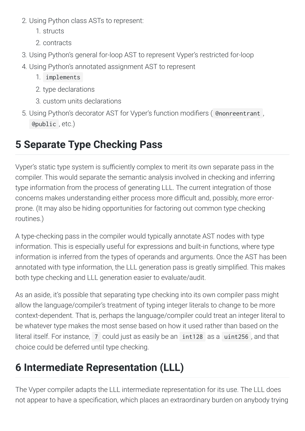- 2.
Using
Python
class
ASTs
to
represent:
	- 1.
	structs
	- 2.
	contracts
- 3.
Using
Python's
general
for-loop
AST
to
represent
Vyper's
restricted
for-loop
- 4.
Using
Python's
annotated
assignment
AST
to
represent
	- 1. implements
	- 2.
	type
	declarations
	- 3.
	custom
	units
	declarations
- 5. Using Python's decorator AST for Vyper's function modifiers ( @nonreentrant, @public ,
etc.)

# <span id="page-3-0"></span>**5
Separate
Type
Checking
Pass**

Vyper's static type system is sufficiently complex to merit its own separate pass in the compiler.
This
would
separate
the
semantic
analysis
involved
in
checking
and
inferring type information from the process of generating LLL. The current integration of those concerns
makes
understanding
either
process
more
dicult
and,
possibly,
more
errorprone.
(It
may
also
be
hiding
opportunities
for
factoring
out
common
type
checking routines.)

A type-checking pass in the compiler would typically annotate AST nodes with type information. This is especially useful for expressions and built-in functions, where type information is inferred from the types of operands and arguments. Once the AST has been annotated with type information, the LLL generation pass is greatly simplified. This makes both
type
checking
and
LLL
generation
easier
to
evaluate/audit.

As an aside, it's possible that separating type checking into its own compiler pass might allow the language/compiler's treatment of typing integer literals to change to be more context-dependent. That is, perhaps the language/compiler could treat an integer literal to be whatever type makes the most sense based on how it used rather than based on the literal itself. For instance, 7 could just as easily be an int128 as a uint256, and that choice
could
be
deferred
until
type
checking.

# <span id="page-3-1"></span>**6
Intermediate
Representation
(LLL)**

The Vyper compiler adapts the LLL intermediate representation for its use. The LLL does not appear to have a specification, which places an extraordinary burden on anybody trying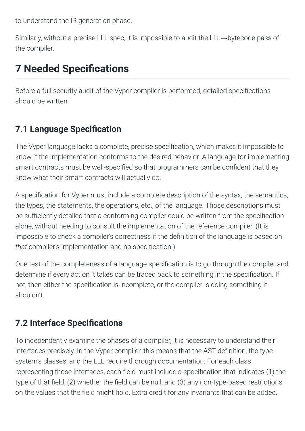to
understand
the
IR
generation
phase.

Similarly, without a precise LLL spec, it is impossible to audit the LLL→bytecode pass of the
compiler.

# <span id="page-4-0"></span>**7 Needed Specifications**

Before a full security audit of the Vyper compiler is performed, detailed specifications should
be
written.

## <span id="page-4-1"></span>**7.1 Language Specification**

The Vyper language lacks a complete, precise specification, which makes it impossible to know if the implementation conforms to the desired behavior. A language for implementing smart contracts must be well-specified so that programmers can be confident that they know
what
their
smart
contracts
will
actually
do.

A specification for Vyper must include a complete description of the syntax, the semantics, the types, the statements, the operations, etc., of the language. Those descriptions must be sufficiently detailed that a conforming compiler could be written from the specification alone, without needing to consult the implementation of the reference compiler. (It is impossible to check a compiler's correctness if the definition of the language is based on that compiler's implementation and no specification.)

One test of the completeness of a language specification is to go through the compiler and determine if every action it takes can be traced back to something in the specification. If not, then either the specification is incomplete, or the compiler is doing something it shouldn't.

## <span id="page-4-2"></span>**7.2 Interface Specifications**

To independently examine the phases of a compiler, it is necessary to understand their interfaces precisely. In the Vyper compiler, this means that the AST definition, the type system's classes, and the LLL require thorough documentation. For each class representing those interfaces, each field must include a specification that indicates (1) the type of that field, (2) whether the field can be null, and (3) any non-type-based restrictions on the values that the field might hold. Extra credit for any invariants that can be added.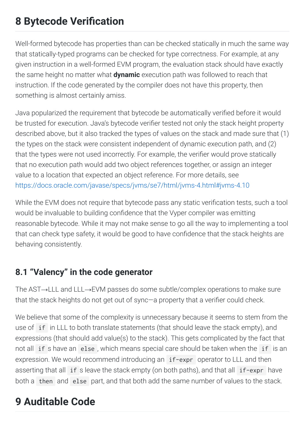# <span id="page-5-0"></span>**8 Bytecode Verification**

Well-formed bytecode has properties than can be checked statically in much the same way that statically-typed programs can be checked for type correctness. For example, at any given
instruction
in
a
well-formed
EVM
program,
the
evaluation
stack
should
have
exactly the same height no matter what **dynamic** execution path was followed to reach that instruction. If the code generated by the compiler does not have this property, then something is almost certainly amiss.

Java popularized the requirement that bytecode be automatically verified before it would be trusted for execution. Java's bytecode verifier tested not only the stack height property described above, but it also tracked the types of values on the stack and made sure that (1) the types on the stack were consistent independent of dynamic execution path, and (2) that the types were not used incorrectly. For example, the verifier would prove statically that
no
execution
path
would
add
two
object
references
together,
or
assign
an
integer value
to
a
location
that
expected
an
object
reference.
For
more
details,
see <https://docs.oracle.com/javase/specs/jvms/se7/html/jvms-4.html#jvms-4.10>

While the EVM does not require that bytecode pass any static verification tests, such a tool would be invaluable to building confidence that the Vyper compiler was emitting reasonable bytecode. While it may not make sense to go all the way to implementing a tool that can check type safety, it would be good to have confidence that the stack heights are behaving
consistently.

## <span id="page-5-1"></span>**8.1
"Valency"
in
the
code
generator**

The AST→LLL and LLL→EVM passes do some subtle/complex operations to make sure that the stack heights do not get out of sync—a property that a verifier could check.

We believe that some of the complexity is unnecessary because it seems to stem from the use of if in LLL to both translate statements (that should leave the stack empty), and expressions (that should add value(s) to the stack). This gets complicated by the fact that not all if s have an else, which means special care should be taken when the if is an expression. We would recommend introducing an if-expr operator to LLL and then asserting that all if s leave the stack empty (on both paths), and that all if-expr have both a then and else part, and that both add the same number of values to the stack.

# <span id="page-5-2"></span>**9
Auditable
Code**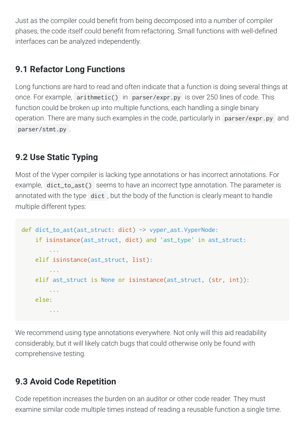Just as the compiler could benefit from being decomposed into a number of compiler phases, the code itself could benefit from refactoring. Small functions with well-defined interfaces
can
be
analyzed
independently.

## <span id="page-6-0"></span>**9.1
Refactor
Long
Functions**

Long functions are hard to read and often indicate that a function is doing several things at once. For example, arithmetic() in parser/expr.py is over 250 lines of code. This function could be broken up into multiple functions, each handling a single binary operation. There are many such examples in the code, particularly in parser/expr.py and parser/stmt.py .

## <span id="page-6-1"></span>**9.2
Use
Static
Typing**

Most of the Vyper compiler is lacking type annotations or has incorrect annotations. For example, dict\_to\_ast() seems to have an incorrect type annotation. The parameter is annotated with the type dict, but the body of the function is clearly meant to handle multiple
different
types:

```
def dict_to_ast(ast_struct: dict) -> vyper_ast.VyperNode:

if isinstance(ast_struct, dict) and 'ast_type' in ast_struct:

...

elif isinstance(ast_struct, list):

...

elif ast_struct is None or isinstance(ast_struct, (str, int)):

...

else:

...
```
We recommend using type annotations everywhere. Not only will this aid readability considerably,
but
it
will
likely
catch
bugs
that
could
otherwise
only
be
found
with comprehensive
testing.

## <span id="page-6-2"></span>**9.3
Avoid
Code
Repetition**

Code repetition increases the burden on an auditor or other code reader. They must examine similar code multiple times instead of reading a reusable function a single time.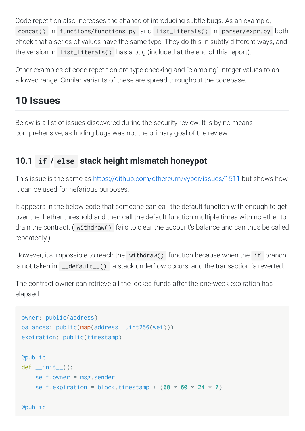Code repetition also increases the chance of introducing subtle bugs. As an example, concat() in functions/functions.py and list\_literals() in parser/expr.py both check that a series of values have the same type. They do this in subtly different ways, and the version in list\_literals() has a bug (included at the end of this report).

Other examples of code repetition are type checking and "clamping" integer values to an allowed
range.
Similar
variants
of
these
are
spread
throughout
the
codebase.

# <span id="page-7-0"></span>**10
Issues**

Below is a list of issues discovered during the security review. It is by no means comprehensive, as finding bugs was not the primary goal of the review.

## <span id="page-7-1"></span>**10.1 if / else [stack
height
mismatch
honeypot](#page-7-1)**

This issue is the same as https://github.com/ethereum/vyper/issues/1511 but shows how it
can
be
used
for
nefarious
purposes.

It appears in the below code that someone can call the default function with enough to get over the 1 ether threshold and then call the default function multiple times with no ether to drain the contract. (withdraw() fails to clear the account's balance and can thus be called repeatedly.)

However, it's impossible to reach the withdraw() function because when the if branch is not taken in \_\_default\_\_(), a stack underflow occurs, and the transaction is reverted.

The contract owner can retrieve all the locked funds after the one-week expiration has elapsed.

```
owner: public(address)
balances: public(map(address, uint256(wei)))
expiration: public(timestamp)
@public
def\_init_(

self.owner = msg.sender
    self.expiration = block.timestamp + (60 \times 60 \times 24 \times 7)
```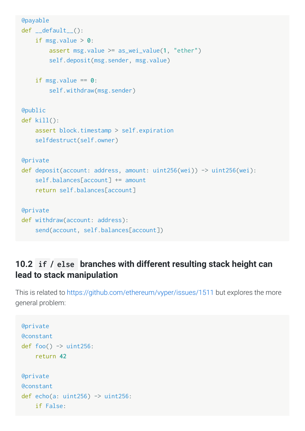```
@payable
def __default__():

if msg.value > 0:

assert msg.value >= as_wei_value(1, "ether")

self.deposit(msg.sender, msg.value)
    if msg.value == 0:

self.withdraw(msg.sender)
@public
def kill():

assert block.timestamp > self.expiration

selfdestruct(self.owner)
@private
def deposit(account: address, amount: uint256(wei)) -> uint256(wei):
    self.balances[account] += amount

return self.balances[account]
@private
def withdraw(account: address):
    send(account, self.balances[account])
```
## <span id="page-8-0"></span>**10.2 if / else [branches
with
different
resulting
stack
height
can](#page-8-0) lead
to
stack
manipulation**

This
is
related
to <https://github.com/ethereum/vyper/issues/1511>but
explores
the
more general
problem:

```
@private
@constant
def foo() \rightarrow uint256:

return 42
@private
@constant
def echo(a: uint256) \rightarrow uint256:

if False:
```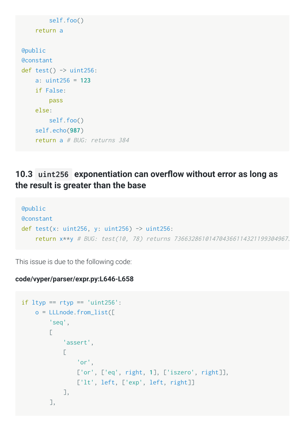```

self.foo()

return a
@public
@constant
def test() \rightarrow uint256:

a: uint256 = 123

if False:

pass

else:

self.foo()

self.echo(987)
     return a # BUG: returns 384
```
#### <span id="page-9-0"></span>10.3 uint256 exponentiation can overflow without error as long as **the
result
is
greater
than
the
base**

```
@public
@constant
def test(x: uint256, y: uint256) \rightarrow uint256:

return x**y #
BUG:
test(10,
78)
returns
7366328610147043661143211993049673
```
This
issue
is
due
to
the
following
code:

#### **code/vyper/parser/expr.py:L646-L658**

```
if ltyp == rtyp == 'uint256':

o = LLLnode.from_list([

'seq',
             \Gamma

'assert',
\Box \Box \Box \Box \Box \Box

'or',

['or', ['eq', right, 1], ['iszero', right]],

['lt', left, ['exp', left, right]]

],

],
```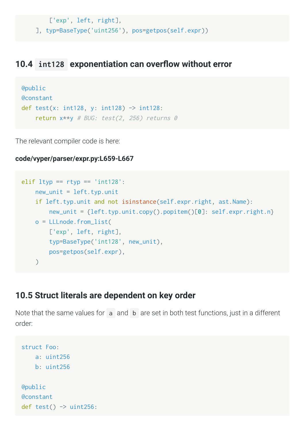```

['exp', left, right],
```
], typ=BaseType('uint256'), pos=getpos(self.expr))

#### <span id="page-10-0"></span>10.4 int128 exponentiation can overflow without error

```
@public
@constant
def test(x: int128, y: int128) -> int128:
    return x**y # BUG: test(2, 256) returns 0
```
The
relevant
compiler
code
is
here:

#### **code/vyper/parser/expr.py:L659-L667**

```
elif ltyp == rtyp == 'int128':new\_unit = left_type.unit

if left.typ.unit and not isinstance(self.expr.right, ast.Name):

new_unit = {left.typ.unit.copy().popitem()[0]: self.expr.right.n}

o = LLLnode.from_list(

['exp', left, right],

typ=BaseType('int128', new_unit),

pos=getpos(self.expr),
    \left( \right)
```
#### <span id="page-10-1"></span>**[10.5
Struct
literals
are
dependent
on
key
order](#page-10-1)**

Note that the same values for a and b are set in both test functions, just in a different order:

```
struct Foo:

a: uint256

b: uint256
@public
@constant
def test() \rightarrow uint256:
```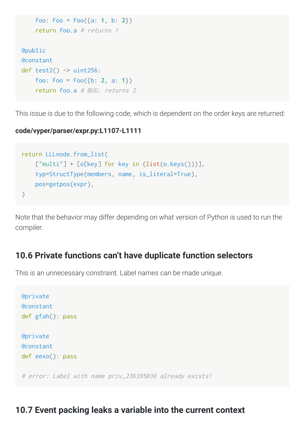```

foo: Foo = Foo({a: 1, b: 2})

return foo.a #
returns
1
@public
@constant
def test2() \rightarrow uint256:

foo: Foo = Foo({b: 2, a: 1})

return foo.a #
BUG:
returns
2
```
This issue is due to the following code, which is dependent on the order keys are returned:

#### **code/vyper/parser/expr.py:L1107-L1111**

```
return LLLnode.from_list(
    ["multi"] + [o[key] for key in (list(o.keys()))],

typ=StructType(members, name, is_literal=True),

pos=getpos(expr),
)
```
Note that the behavior may differ depending on what version of Python is used to run the compiler.

#### <span id="page-11-0"></span>**[10.6
Private
functions
can't
have
duplicate
function
selectors](#page-11-0)**

This
is
an
unnecessary
constraint.
Label
names
can
be
made
unique.

```
@private
@constant
def gfah(): pass
@private
@constant
def eexo(): pass
# error: Label with name priv_236395036 already exists!
```
#### <span id="page-11-1"></span>**[10.7
Event
packing
leaks
a
variable
into
the
current
context](#page-11-1)**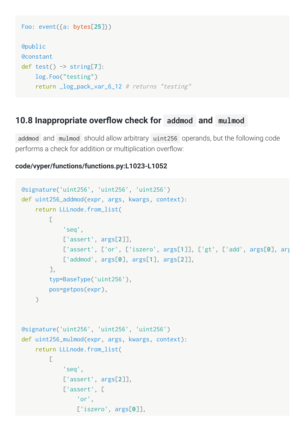```
Foo: event({a: bytes[25]})
@public
@constant
def test() -> string[7]:

log.Foo("testing")

return _log_pack_var_6_12 #
returns
"testing"
```
#### <span id="page-12-0"></span>10.8 Inappropriate overflow check for addmod and mulmod

addmod and mulmod should allow arbitrary uint256 operands, but the following code performs a check for addition or multiplication overflow:

#### **code/vyper/functions/functions.py:L1023-L1052**

```
@signature('uint256', 'uint256', 'uint256')
def uint256_addmod(expr, args, kwargs, context):

return LLLnode.from_list(
           \sqrt{2}

'seq',

['assert', args[2]],

['assert', ['or', ['iszero', args[1]], ['gt', ['add', args[0], arg

['addmod', args[0], args[1], args[2]],

],

typ=BaseType('uint256'),

pos=getpos(expr),
     \left( \right)@signature('uint256', 'uint256', 'uint256')
def uint256_mulmod(expr, args, kwargs, context):

return LLLnode.from_list(
           \Gamma

'seq',

['assert', args[2]],

['assert', [

'or',

['iszero', args[0]],
```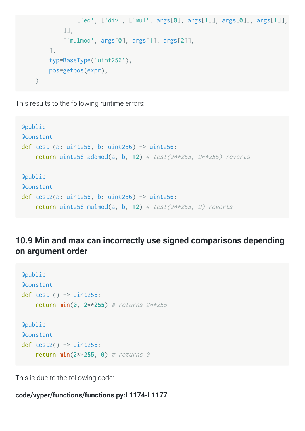```

['eq', ['div', ['mul', args[0], args[1]], args[0]], args[1]],

]],

['mulmod', args[0], args[1], args[2]],

],

typ=BaseType('uint256'),

pos=getpos(expr),
\mathcal{L}
```
This results to the following runtime errors:

```
@public
@constant
def test1(a: uint256, b: uint256) -> uint256:

return uint256_addmod(a, b, 12) #
test(2**255,
2**255)
reverts
@public
@constant
def test2(a: uint256, b: uint256) -> uint256:

return uint256_mulmod(a, b, 12) #
test(2**255,
2)
reverts
```
## <span id="page-13-0"></span>**[10.9
Min
and
max
can
incorrectly
use
signed
comparisons
depending](#page-13-0) on
argument
order**

```
@public
@constant
def test1() \rightarrow \text{uint256}:

return min(0, 2**255) #
returns
2**255
@public
@constant
def test2() \rightarrow uint256:

return min(2**255, 0) #
returns
0
```
This
is
due
to
the
following
code:

#### **code/vyper/functions/functions.py:L1174-L1177**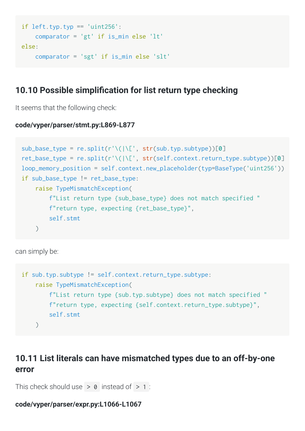```
if left.typ.typ == 'uint256':

comparator = 'gt' if is_min else 'lt'
else:

comparator = 'sgt' if is_min else 'slt'
```
#### <span id="page-14-0"></span>10.10 Possible simplification for list return type checking

It seems that the following check:

#### **code/vyper/parser/stmt.py:L869-L877**

```
sub_base_type = re.split(r'\(|\[', str(sub.typ.subtype))[0]
ret_base_type = re.split(r'\(|\[', str(self.context.return_type.subtype))[0]
loop_memory_position = self.context.new_placeholder(typ=BaseType('uint256'))
if sub_base_type != ret_base_type:

raise TypeMismatchException(
        f"List return type {sub_base_type} does not match specified "

f"return
type,
expecting
{ret_base_type}",

self.stmt
    \lambda
```
can
simply
be:

```
if sub.typ.subtype != self.context.return_type.subtype:

raise TypeMismatchException(
         f"List return type {sub.typ.subtype} does not match specified "

f"return
type,
expecting
{self.context.return_type.subtype}",

self.stmt
    \left( \right)
```
### <span id="page-14-1"></span>**[10.11
List
literals
can
have
mismatched
types
due
to
an
off-by-one](#page-14-1) error**

```
This check should use > 0 instead of > 1 :
```
#### **code/vyper/parser/expr.py:L1066-L1067**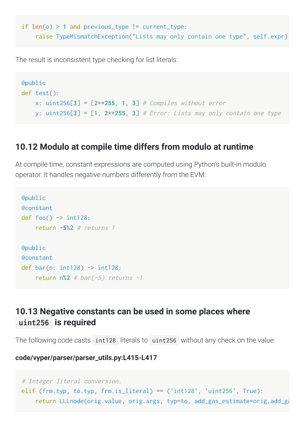```
if len(o) > 1 and previous type != current type:

raise TypeMismatchException("Lists
may
only
contain
one
type", self.expr)
```
The
result
is
inconsistent
type
checking
for
list
literals:

```
@public
def test():

x: uint256[3] = [2**255, 1, 3] #
Compiles
without
error
    y: uint256[3] = [1, 2**255, 3] # Error: Lists may only contain one type
```
#### <span id="page-15-0"></span>**[10.12
Modulo
at
compile
time
differs
from
modulo
at
runtime](#page-15-0)**

At compile time, constant expressions are computed using Python's built-in modulo operator.
It
handles
negative
numbers
differently
from
the
EVM:

```
@public
@constant
def foo() \rightarrow int128:

return -5%2 #
returns
1
@public
@constant
def bar(n: int128) -> int128:
    return n\<sup>2</sup> # bar(-5) returns -1
```
#### <span id="page-15-1"></span>**[10.13
Negative
constants
can
be
used
in
some
places
where](#page-15-1) uint256 is
required**

The following code casts int128 literals to uint256 without any check on the value:

**code/vyper/parser/parser\_utils.py:L415-L417**

```
#
Integer
literal
conversion.
elif (frm.typ, to.typ, frm.is_literal) == ('int128', 'uint256', True):
    return LLLnode(orig.value, orig.args, typ=to, add_gas_estimate=orig.add_ga
```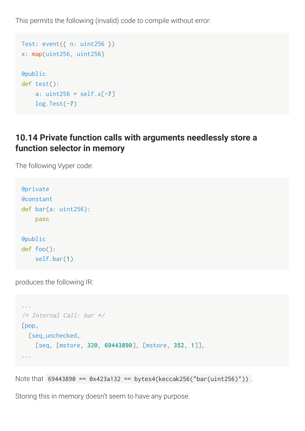This
permits
the
following
(invalid)
code
to
compile
without
error:

```
Test: event({ n: uint256 })
x: map(uint256, uint256)
@public
def test():

a: uint256 = self.x[-7]

log.Test(-7)
```
## <span id="page-16-0"></span>10.14 Private function calls with arguments needlessly store a **function
selector
in
memory**

The
following
Vyper
code:

```
@private
@constant
def bar(a: uint256):

pass
@public
def foo():

self.bar(1)
```
produces
the
following
IR:

```
...
/*
Internal
Call:
bar
*/
[pop,

[seq_unchecked,

[seq, [mstore, 320, 69443890], [mstore, 352, 1]],
...
```
Note that 69443890 == 0x423a132 == bytes4(keccak256("bar(uint256)")).

Storing
this
in
memory
doesn't
seem
to
have
any
purpose.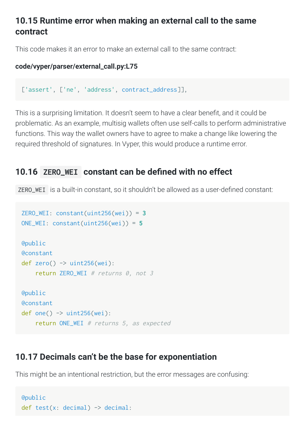#### <span id="page-17-0"></span>10.15 Runtime error when making an external call to the same **contract**

This code makes it an error to make an external call to the same contract:

#### **code/vyper/parser/external\_call.py:L75**

['assert', ['ne', 'address', contract\_address]],

This is a surprising limitation. It doesn't seem to have a clear benefit, and it could be problematic. As an example, multisig wallets often use self-calls to perform administrative functions. This way the wallet owners have to agree to make a change like lowering the required
threshold
of
signatures.
In
Vyper,
this
would
produce
a
runtime
error.

#### <span id="page-17-1"></span>10.16 ZERO WEI constant can be defined with no effect

ZERO\_WEI is a built-in constant, so it shouldn't be allowed as a user-defined constant:

```
ZERO_WEI: constant(uint256(wei)) = 3
ONE_WEI: constant(uint256(wei)) = 5
@public
@constant
def zero() \rightarrow uint256(wei):
    return ZERO_WEI # returns 0, not 3
@public
@constant
def one() \rightarrow uint256(wei):

return ONE_WEI #
returns
5,
as
expected
```
#### <span id="page-17-2"></span>**[10.17
Decimals
can't
be
the
base
for
exponentiation](#page-17-2)**

This might be an intentional restriction, but the error messages are confusing:

```
@public
def test(x: decimal) -> decimal:
```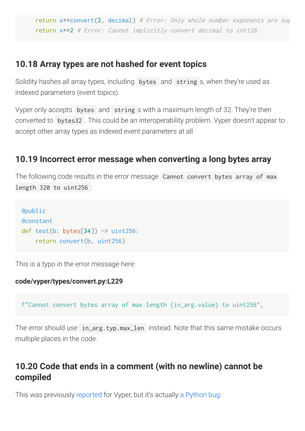return x\*\*convert(2, decimal) # Error: Only whole number exponents are sup return x\*\*2 # Error: Cannot implicitly convert decimal to int128.

#### <span id="page-18-0"></span>**[10.18
Array
types
are
not
hashed
for
event
topics](#page-18-0)**

Solidity hashes all array types, including bytes and string s, when they're used as indexed
parameters
(event
topics).

Vyper only accepts bytes and string s with a maximum length of 32. They're then converted to bytes 32. This could be an interoperability problem. Vyper doesn't appear to accept
other
array
types
as
indexed
event
parameters
at
all.

#### <span id="page-18-1"></span>**[10.19
Incorrect
error
message
when
converting
a
long
bytes
array](#page-18-1)**

The following code results in the error message Cannot convert bytes array of max length
320
to
uint256 :

```
@public
@constant
def test(b: bytes[34]) -> uint256:

return convert(b, uint256)
```
This
is
a
typo
in
the
error
message
here:

#### **code/vyper/types/convert.py:L229**

f"Cannot convert bytes array of max length {in\_arg.value} to uint256",

The error should use in\_arg.typ.max\_len instead. Note that this same mistake occurs multiple
places
in
the
code.

### <span id="page-18-2"></span>**[10.20
Code
that
ends
in
a
comment
\(with
no
newline\)
cannot
be](#page-18-2) compiled**

This was previously reported for Vyper, but it's actually a Python bug: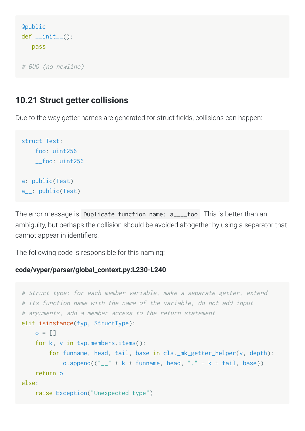```
@public
def __init__():

pass
```

```
#
BUG
(no
newline)
```
#### <span id="page-19-0"></span>**[10.21
Struct
getter
collisions](#page-19-0)**

Due to the way getter names are generated for struct fields, collisions can happen:

```
struct Test:

foo: uint256

__foo: uint256
a: public(Test)
a__: public(Test)
```
The error message is Duplicate function name: a\_\_\_\_foo . This is better than an ambiguity, but perhaps the collision should be avoided altogether by using a separator that cannot
appear
in
identiers.

The
following
code
is
responsible
for
this
naming:

#### **code/vyper/parser/global\_context.py:L230-L240**

```
# Struct type: for each member variable, make a separate getter, extend
# its function name with the name of the variable, do not add input
# arguments, add a member access to the return statement
elif isinstance(typ, StructType):
    o = []

for k, v in typ.members.items():

for funname, head, tail, base in cls._mk_getter_helper(v, depth):
            o.append(("_{-1} " + k + funname, head, ". " + k + tail, base))

return o
else:

raise Exception("Unexpected
type")
```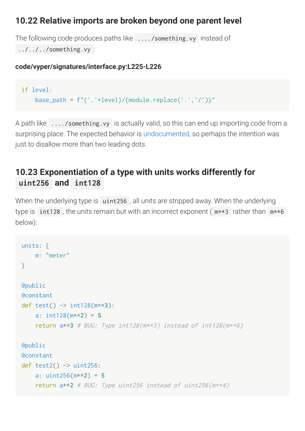#### <span id="page-20-0"></span>10.22 Relative imports are broken beyond one parent level

The
following
code
produces
paths
like ..../something.vy instead
of ../../../something.vy :

#### **code/vyper/signatures/interface.py:L225-L226**

```
if level:
    base_path = f''{'}.'+level}/{module.replace('.','')'}''
```
A path like ..../something.vy is actually valid, so this can end up importing code from a surprising place. The expected behavior is [undocumented](https://vyper.readthedocs.io/en/latest/structure-of-a-contract.html#imports-via-import), so perhaps the intention was just to disallow more than two leading dots.

#### <span id="page-20-1"></span>**[10.23
Exponentiation
of
a
type
with
units
works
differently
for](#page-20-1) uint256 and int128**

When the underlying type is uint256, all units are stripped away. When the underlying type is int128, the units remain but with an incorrect exponent  $(m**3)$  rather than  $m**6$ below):

```
units: {

m: "meter"
}
@public
@constant
def test() -> int128(m**3):

a: int128(m**2) = 5
    return a**3 # BUG: Type int128(mx*3) instead of int128(mx*6)@public
@constant
def test2() \rightarrow uint256:

a: uint256(m**2) = 5
    return a**2 # BUG: Type uint256 instead of uint256(m**4)
```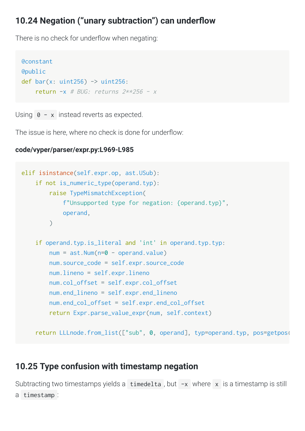#### <span id="page-21-0"></span>10.24 Negation ("unary subtraction") can underflow

There is no check for underflow when negating:

```
@constant
@public
def bar(x: uint256) \rightarrow uint256:
    return -x # BUG: returns 2**256 - x
```
Using  $\theta$  - x instead reverts as expected.

The issue is here, where no check is done for underflow:

```
code/vyper/parser/expr.py:L969-L985
```

```
elif isinstance(self.expr.op, ast.USub):

if not is_numeric_type(operand.typ):

raise TypeMismatchException(

f"Unsupported
type
for
negation:
{operand.typ}",

operand,
\left( \begin{array}{c} \end{array} \right)

if operand.typ.is_literal and 'int' in operand.typ.typ:

num = ast.Num(n=0 - operand.value)

num.source_code = self.expr.source_code

num.lineno = self.expr.lineno

num.col_offset = self.expr.col_offset

num.end_lineno = self.expr.end_lineno

num.end_col_offset = self.expr.end_col_offset

return Expr.parse_value_expr(num, self.context)

return LLLnode.from_list(["sub", 0, operand], typ=operand.typ, pos=getpos(
```
#### <span id="page-21-1"></span>**[10.25
Type
confusion
with
timestamp
negation](#page-21-1)**

Subtracting two timestamps yields a timedelta, but -x where x is a timestamp is still a timestamp :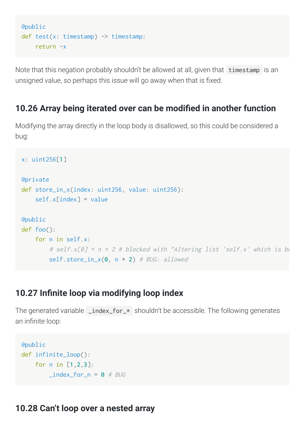```
@public
def test(x: timestamp) -> timestamp:

return -x
```
Note that this negation probably shouldn't be allowed at all, given that timestamp is an unsigned value, so perhaps this issue will go away when that is fixed.

#### <span id="page-22-0"></span>10.26 Array being iterated over can be modified in another function

Modifying the array directly in the loop body is disallowed, so this could be considered a bug:

```
x: uint256[1]
@private
def store_in_x(index: uint256, value: uint256):
    self.xfindex1 = value@public
def foo():

for n in self.x:

#
self.x[0]
=
n
*
2
#
blocked
with
"Altering
list
'self.x'
which
is
be
        self.store_in_x(0, n * 2) # BUG: allowed
```
#### <span id="page-22-1"></span>10.27 Infinite loop via modifying loop index

The generated variable \_index\_for\_\* shouldn't be accessible. The following generates an infinite loop:

```
@public
def infinite_loop():

for n in [1,2,3]:
         \_index\_for\_n = 0 # BUG
```
#### <span id="page-22-2"></span>**[10.28
Can't
loop
over
a
nested
array](#page-22-2)**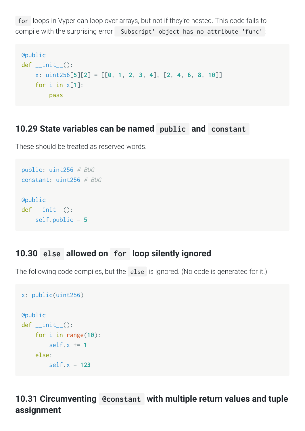for loops
in
Vyper
can
loop
over
arrays,
but
not
if
they're
nested.
This
code
fails
to compile with the surprising error 'Subscript' object has no attribute 'func':

```
@public
def __init__():

x: uint256[5][2] = [[0, 1, 2, 3, 4], [2, 4, 6, 8, 10]]

for i in x[1]:

pass
```
#### <span id="page-23-0"></span>**[10.29
State
variables
can
be
named](#page-23-0)  public and constant**

These
should
be
treated
as
reserved
words.

```
public: uint256 #
BUG
constant: uint256 #
BUG
@public
def __init__():

self.public = 5
```
#### <span id="page-23-1"></span>**10.30 else allowed
on for [loop
silently
ignored](#page-23-1)**

The following code compiles, but the else is ignored. (No code is generated for it.)

```
x: public(uint256)
@public
def \_init ():

for i in range(10):

self.x += 1

else:

self.x = 123
```
<span id="page-23-2"></span>10.31 Circumventing @constant with multiple return values and tuple **assignment**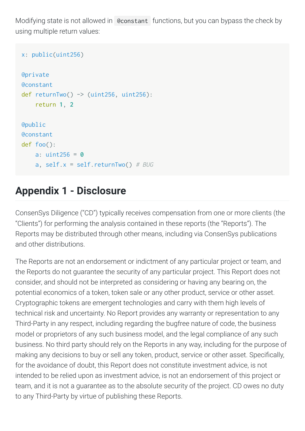Modifying state is not allowed in Constant functions, but you can bypass the check by using
multiple
return
values:

```
x: public(uint256)
@private
@constant
def returnTwo() \rightarrow (uint256, uint256):

return 1, 2
@public
@constant
def foo():

a: uint256 = 0
    a, self.x = self.returnTwo() # BUG
```
## <span id="page-24-0"></span>**Appendix
1
Disclosure**

ConsenSys
Diligence
("CD")
typically
receives
compensation
from
one
or
more
clients
(the "Clients") for performing the analysis contained in these reports (the "Reports"). The Reports may be distributed through other means, including via ConsenSys publications and
other
distributions.

The Reports are not an endorsement or indictment of any particular project or team, and the Reports do not quarantee the security of any particular project. This Report does not consider,
and
should
not
be
interpreted
as
considering
or
having
any
bearing
on,
the potential economics of a token, token sale or any other product, service or other asset. Cryptographic
tokens
are
emergent
technologies
and
carry
with
them
high
levels
of technical risk and uncertainty. No Report provides any warranty or representation to any Third-Party in any respect, including regarding the bugfree nature of code, the business model or proprietors of any such business model, and the legal compliance of any such business.
No
third
party
should
rely
on
the
Reports
in
any
way,
including
for
the
purpose
of making any decisions to buy or sell any token, product, service or other asset. Specifically, for the avoidance of doubt, this Report does not constitute investment advice, is not intended to be relied upon as investment advice, is not an endorsement of this project or team, and it is not a quarantee as to the absolute security of the project. CD owes no duty to
any
Third-Party
by
virtue
of
publishing
these
Reports.